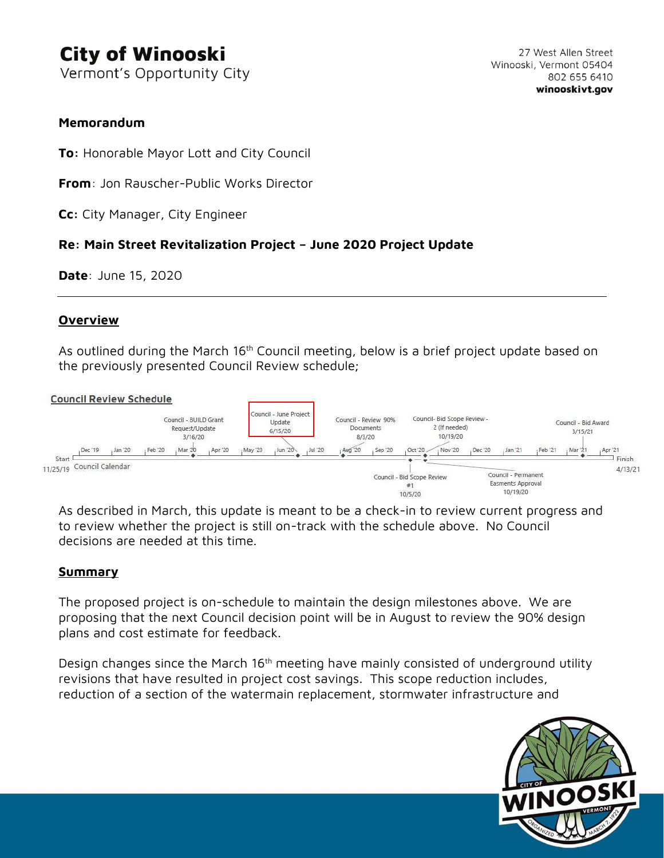# **City of Winooski**

Vermont's Opportunity City

## **Memorandum**

**To:** Honorable Mayor Lott and City Council

**From**: Jon Rauscher-Public Works Director

**Cc:** City Manager, City Engineer

# **Re: Main Street Revitalization Project – June 2020 Project Update**

**Date**: June 15, 2020

## **Overview**

As outlined during the March 16<sup>th</sup> Council meeting, below is a brief project update based on the previously presented Council Review schedule;

#### **Council Review Schedule**



As described in March, this update is meant to be a check-in to review current progress and to review whether the project is still on-track with the schedule above. No Council decisions are needed at this time.

### **Summary**

The proposed project is on-schedule to maintain the design milestones above. We are proposing that the next Council decision point will be in August to review the 90% design plans and cost estimate for feedback.

Design changes since the March  $16<sup>th</sup>$  meeting have mainly consisted of underground utility revisions that have resulted in project cost savings. This scope reduction includes, reduction of a section of the watermain replacement, stormwater infrastructure and